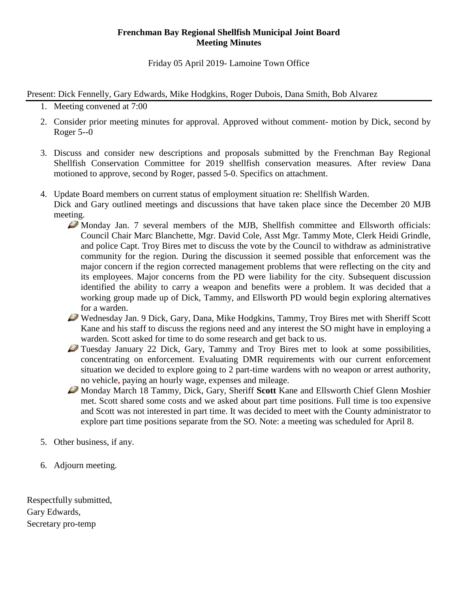## **Frenchman Bay Regional Shellfish Municipal Joint Board Meeting Minutes**

Friday 05 April 2019- Lamoine Town Office

Present: Dick Fennelly, Gary Edwards, Mike Hodgkins, Roger Dubois, Dana Smith, Bob Alvarez

- 1. Meeting convened at 7:00
- 2. Consider prior meeting minutes for approval. Approved without comment- motion by Dick, second by Roger 5--0
- 3. Discuss and consider new descriptions and proposals submitted by the Frenchman Bay Regional Shellfish Conservation Committee for 2019 shellfish conservation measures. After review Dana motioned to approve, second by Roger, passed 5-0. Specifics on attachment.
- 4. Update Board members on current status of employment situation re: Shellfish Warden.

Dick and Gary outlined meetings and discussions that have taken place since the December 20 MJB meeting.

- $\blacktriangleright$  Monday Jan. 7 several members of the MJB, Shellfish committee and Ellsworth officials: Council Chair Marc Blanchette, Mgr. David Cole, Asst Mgr. Tammy Mote, Clerk Heidi Grindle, and police Capt. Troy Bires met to discuss the vote by the Council to withdraw as administrative community for the region. During the discussion it seemed possible that enforcement was the major concern if the region corrected management problems that were reflecting on the city and its employees. Major concerns from the PD were liability for the city. Subsequent discussion identified the ability to carry a weapon and benefits were a problem. It was decided that a working group made up of Dick, Tammy, and Ellsworth PD would begin exploring alternatives for a warden.
- Wednesday Jan. 9 Dick, Gary, Dana, Mike Hodgkins, Tammy, Troy Bires met with Sheriff Scott Kane and his staff to discuss the regions need and any interest the SO might have in employing a warden. Scott asked for time to do some research and get back to us.
- $\mathcal P$  Tuesday January 22 Dick, Gary, Tammy and Troy Bires met to look at some possibilities, concentrating on enforcement. Evaluating DMR requirements with our current enforcement situation we decided to explore going to 2 part-time wardens with no weapon or arrest authority, no vehicle**,** paying an hourly wage, expenses and mileage.
- Monday March 18 Tammy, Dick, Gary, Sheriff **Scott** Kane and Ellsworth Chief Glenn Moshier met. Scott shared some costs and we asked about part time positions. Full time is too expensive and Scott was not interested in part time. It was decided to meet with the County administrator to explore part time positions separate from the SO. Note: a meeting was scheduled for April 8.
- 5. Other business, if any.
- 6. Adjourn meeting.

Respectfully submitted, Gary Edwards, Secretary pro-temp